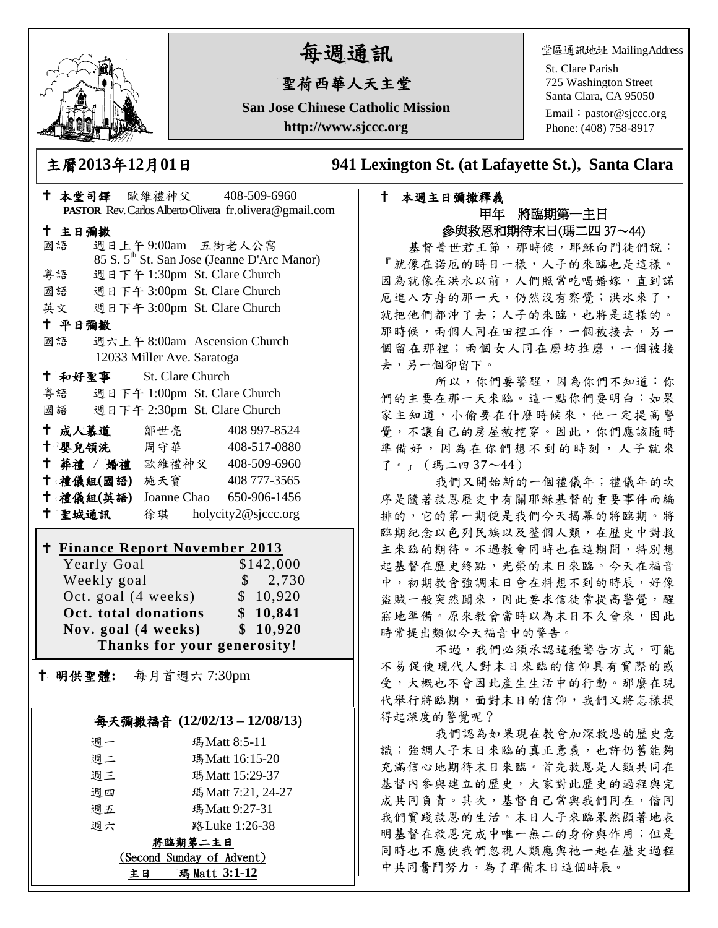

# 每週通訊

## 聖荷西華人天主堂

**San Jose Chinese Catholic Mission http://www.sjccc.org**

堂區通訊地址 MailingAddress

St. Clare Parish 725 Washington Street Santa Clara, CA 95050

Email: [pastor@sjccc.org](mailto:pastor@sjccc.org) Phone: (408) 758-8917

主曆**2013**年**12**月**01**日 **941 Lexington St. (at Lafayette St.), Santa Clara** 

#### 本週主日彌撒釋義 甲年 將臨期第一主日 參與救恩和期待末日(瑪二四 37~44)

基督普世君王節,那時候,耶穌向門徒們說: 『就像在諾厄的時日一樣,人子的來臨也是這樣。 因為就像在洪水以前,人們照常吃喝婚嫁,直到諾 厄進入方舟的那一天,仍然沒有察覺;洪水來了, 就把他們都沖了去;人子的來臨,也將是這樣的。 那時候,兩個人同在田裡工作,一個被接去,另一 個留在那裡;兩個女人同在磨坊推磨,一個被接 去,另一個卻留下。

 所以,你們要警醒,因為你們不知道:你 們的主要在那一天來臨。這一點你們要明白:如果 家主知道,小偷要在什麼時候來,他一定提高警 覺,不讓自己的房屋被挖穿。因此,你們應該隨時 準備好,因為在你們想不到的時刻,人子就來 了。』(瑪二四 37~44)

 我們又開始新的一個禮儀年;禮儀年的次 序是隨著救恩歷史中有關耶穌基督的重要事件而編 排的,它的第一期便是我們今天揭幕的將臨期。將 臨期紀念以色列民族以及整個人類,在歷史中對救 主來臨的期待。不過教會同時也在這期間,特別想 起基督在歷史終點,光榮的末日來臨。今天在福音 中,初期教會強調末日會在料想不到的時辰,好像 盗賊一般突然闖來,因此要求信徒常提高警覺,醒 寤地準備。原來教會當時以為末日不久會來,因此 時常提出類似今天福音中的警告。

不過,我們必須承認這種警告方式,可能 不易促使現代人對末日來臨的信仰具有實際的感 受,大概也不會因此產生生活中的行動。那麼在現 代舉行將臨期,面對末日的信仰,我們又將怎樣提 得起深度的警覺呢?

我們認為如果現在教會加深救恩的歷史意 識;強調人子末日來臨的真正意義,也許仍舊能夠 充滿信心地期待末日來臨。首先救恩是人類共同在 基督內參與建立的歷史,大家對此歷史的過程與完 成共同負責。其次,基督自己常與我們同在,偕同 我們實踐救恩的生活。末日人子來臨果然顯著地表 明基督在救恩完成中唯一無二的身份與作用;但是 同時也不應使我們忽視人類應與祂一起在歷史過程 中共同奮鬥努力,為了準備末日這個時辰。

|                         | † 本堂司鐸 歐維禮神父 408-509-6960                                  |
|-------------------------|------------------------------------------------------------|
|                         | PASTOR Rev. Carlos Alberto Olivera fr.olivera@gmail.com    |
| 十 主日彌撒<br>國語            | 週日上午9:00am 五街老人公寓                                          |
|                         | 85 S. 5 <sup>th</sup> St. San Jose (Jeanne D'Arc Manor)    |
| 粵語                      | 週日下午 1:30pm St. Clare Church                               |
|                         | 國語 週日下午 3:00pm St. Clare Church                            |
|                         | 英文 週日下午 3:00pm St. Clare Church                            |
| 十 平日彌撒                  |                                                            |
| 國語                      | 週六上午 8:00am Ascension Church<br>12033 Miller Ave. Saratoga |
| + 和好聖事 St. Clare Church |                                                            |
|                         | 粤語 週日下午 1:00pm St. Clare Church                            |
|                         | 國語 週日下午 2:30pm St. Clare Church                            |
| ← 成人慕道   鄒世亮            | 408 997-8524                                               |
|                         | † 嬰兒領洗 周守華 408-517-0880                                    |
|                         | † 葬禮 / 婚禮 歐維禮神父 408-509-6960                               |
|                         | †禮儀組(國語) 施天寶 408777−3565                                   |
|                         | † 禮儀組(英語) Joanne Chao 650-906-1456                         |
|                         | + 聖城通訊 徐琪 holycity2@sjccc.org                              |
| <b>Yearly Goal</b>      | <u>† Finance Report November 2013</u><br>\$142,000         |
| Weekly goal             | $\frac{1}{2}$ ,730                                         |
| Oct. goal (4 weeks)     | \$10,920                                                   |
| Oct. total donations    | \$10,841                                                   |
|                         | Nov. goal (4 weeks) \$ 10,920                              |
|                         | Thanks for your generosity!                                |
| ↑.                      | 明供聖體: 每月首週六 7:30pm                                         |
|                         | 每天彌撒福音 (12/02/13-12/08/13)                                 |
| 週一                      | 瑪Matt 8:5-11                                               |
| 週二                      | 瑪Matt 16:15-20                                             |
| 週三                      | 瑪Matt 15:29-37                                             |
| 週四                      | 瑪 Matt 7:21, 24-27                                         |
| 週五                      | 瑪 Matt 9:27-31                                             |
| 週六                      | 路 Luke 1:26-38                                             |
|                         | 將臨期第二主日                                                    |
|                         | (Second Sunday of Advent)                                  |

主日 瑪 Matt **3:1-12**